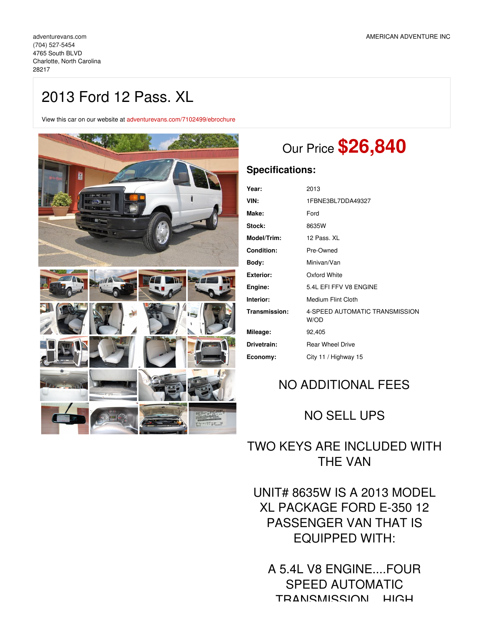# 2013 Ford 12 Pass. XL

View this car on our website at [adventurevans.com/7102499/ebrochure](https://adventurevans.com/vehicle/7102499/2013-ford-12-pass-xl-charlotte-north-carolina-28217/7102499/ebrochure)



# Our Price **\$26,840**

### **Specifications:**

| Year:              | 2013                                   |
|--------------------|----------------------------------------|
| VIN:               | 1FBNE3BL7DDA49327                      |
| Make:              | Ford                                   |
| Stock:             | 8635W                                  |
| <b>Model/Trim:</b> | 12 Pass. XL                            |
| <b>Condition:</b>  | Pre-Owned                              |
| Body:              | Minivan/Van                            |
| Exterior:          | Oxford White                           |
| Engine:            | 5.4L EFI FFV V8 ENGINE                 |
| Interior:          | Medium Flint Cloth                     |
| Transmission:      | 4-SPEED AUTOMATIC TRANSMISSION<br>W/OD |
| Mileage:           | 92,405                                 |
| Drivetrain:        | <b>Rear Wheel Drive</b>                |
| Economy:           | City 11 / Highway 15                   |
|                    |                                        |

## NO ADDITIONAL FEES

## NO SELL UPS

### TWO KEYS ARE INCLUDED WITH THE VAN

UNIT# 8635W IS A 2013 MODEL XL PACKAGE FORD E-350 12 PASSENGER VAN THAT IS EQUIPPED WITH:

A 5.4L V8 ENGINE....FOUR SPEED AUTOMATIC TRANSMISSION....HIGH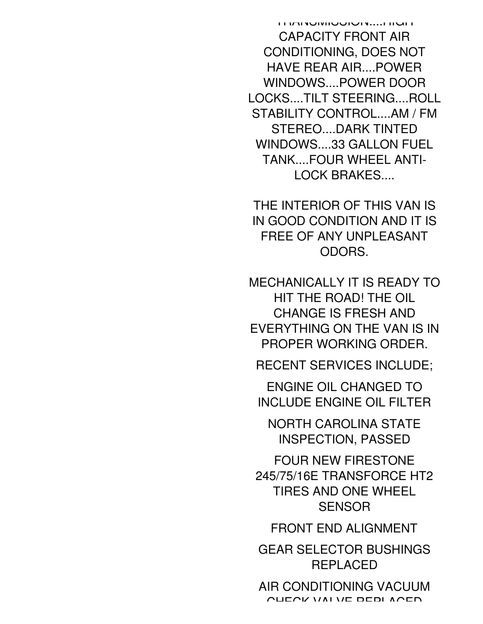TEMI HULLOUS IN THE HIGH HIGH CAPACITY FRONT AIR CONDITIONING, DOES NOT HAVE REAR AIR....POWER WINDOWS....POWER DOOR LOCKS....TILT STEERING....ROLL STABILITY CONTROL....AM / FM STEREO....DARK TINTED WINDOWS....33 GALLON FUEL TANK....FOUR WHEEL ANTI-LOCK BRAKES....

THE INTERIOR OF THIS VAN IS IN GOOD CONDITION AND IT IS FREE OF ANY UNPLEASANT ODORS.

MECHANICALLY IT IS READY TO HIT THE ROAD! THE OIL CHANGE IS FRESH AND EVERYTHING ON THE VAN IS IN PROPER WORKING ORDER.

RECENT SERVICES INCLUDE;

ENGINE OIL CHANGED TO INCLUDE ENGINE OIL FILTER

NORTH CAROLINA STATE INSPECTION, PASSED

FOUR NEW FIRESTONE 245/75/16E TRANSFORCE HT2 TIRES AND ONE WHEEL **SENSOR** 

FRONT END ALIGNMENT

GEAR SELECTOR BUSHINGS REPLACED

AIR CONDITIONING VACUUM CHECK VALVE DEDLACED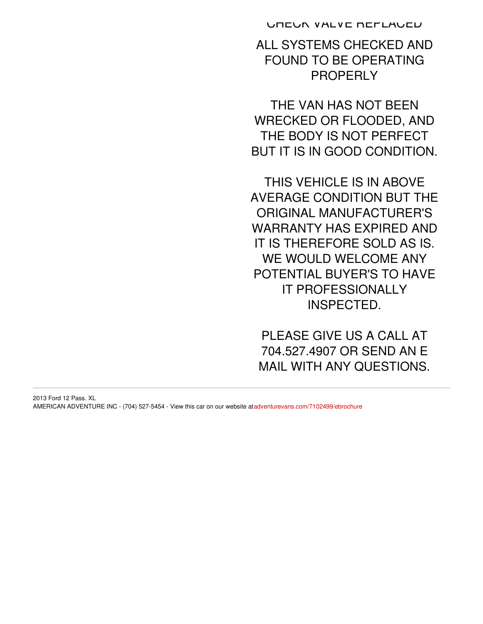CHECK VALVE REPLACED

ALL SYSTEMS CHECKED AND FOUND TO BE OPERATING PROPERLY

THE VAN HAS NOT BEEN WRECKED OR FLOODED, AND THE BODY IS NOT PERFECT BUT IT IS IN GOOD CONDITION.

THIS VEHICLE IS IN ABOVE AVERAGE CONDITION BUT THE ORIGINAL MANUFACTURER'S WARRANTY HAS EXPIRED AND IT IS THEREFORE SOLD AS IS. WE WOULD WELCOME ANY POTENTIAL BUYER'S TO HAVE IT PROFESSIONALLY INSPECTED.

PLEASE GIVE US A CALL AT 704.527.4907 OR SEND AN E MAIL WITH ANY QUESTIONS.

2013 Ford 12 Pass. XL AMERICAN ADVENTURE INC - (704) 527-5454 - View this car on our website at[adventurevans.com/7102499/ebrochure](https://adventurevans.com/vehicle/7102499/2013-ford-12-pass-xl-charlotte-north-carolina-28217/7102499/ebrochure)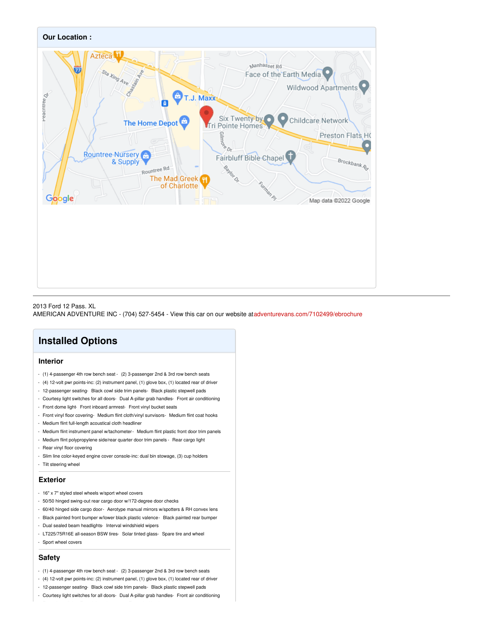

#### 2013 Ford 12 Pass. XL AMERICAN ADVENTURE INC - (704) 527-5454 - View this car on our website at[adventurevans.com/7102499/ebrochure](https://adventurevans.com/vehicle/7102499/2013-ford-12-pass-xl-charlotte-north-carolina-28217/7102499/ebrochure)

### **Installed Options**

#### **Interior**

- (1) 4-passenger 4th row bench seat (2) 3-passenger 2nd & 3rd row bench seats
- (4) 12-volt pwr points-inc: (2) instrument panel, (1) glove box, (1) located rear of driver
- 12-passenger seating- Black cowl side trim panels- Black plastic stepwell pads
- Courtesy light switches for all doors- Dual A-pillar grab handles- Front air conditioning
- Front dome light- Front inboard armrest- Front vinyl bucket seats
- Front vinyl floor covering- Medium flint cloth/vinyl sunvisors- Medium flint coat hooks
- Medium flint full-length acoustical cloth headliner
- Medium flint instrument panel w/tachometer- Medium flint plastic front door trim panels
- Medium flint polypropylene side/rear quarter door trim panels Rear cargo light
- Rear vinyl floor covering
- Slim line color-keyed engine cover console-inc: dual bin stowage, (3) cup holders
- Tilt steering wheel

#### **Exterior**

- 16" x 7" styled steel wheels w/sport wheel covers
- 50/50 hinged swing-out rear cargo door w/172-degree door checks
- 60/40 hinged side cargo door- Aerotype manual mirrors w/spotters & RH convex lens
- Black painted front bumper w/lower black plastic valence- Black painted rear bumper
- Dual sealed beam headlights- Interval windshield wipers
- LT225/75R16E all-season BSW tires- Solar tinted glass- Spare tire and wheel
- Sport wheel covers

#### **Safety**

- (1) 4-passenger 4th row bench seat (2) 3-passenger 2nd & 3rd row bench seats
- (4) 12-volt pwr points-inc: (2) instrument panel, (1) glove box, (1) located rear of driver
- 12-passenger seating- Black cowl side trim panels- Black plastic stepwell pads
- Courtesy light switches for all doors- Dual A-pillar grab handles- Front air conditioning